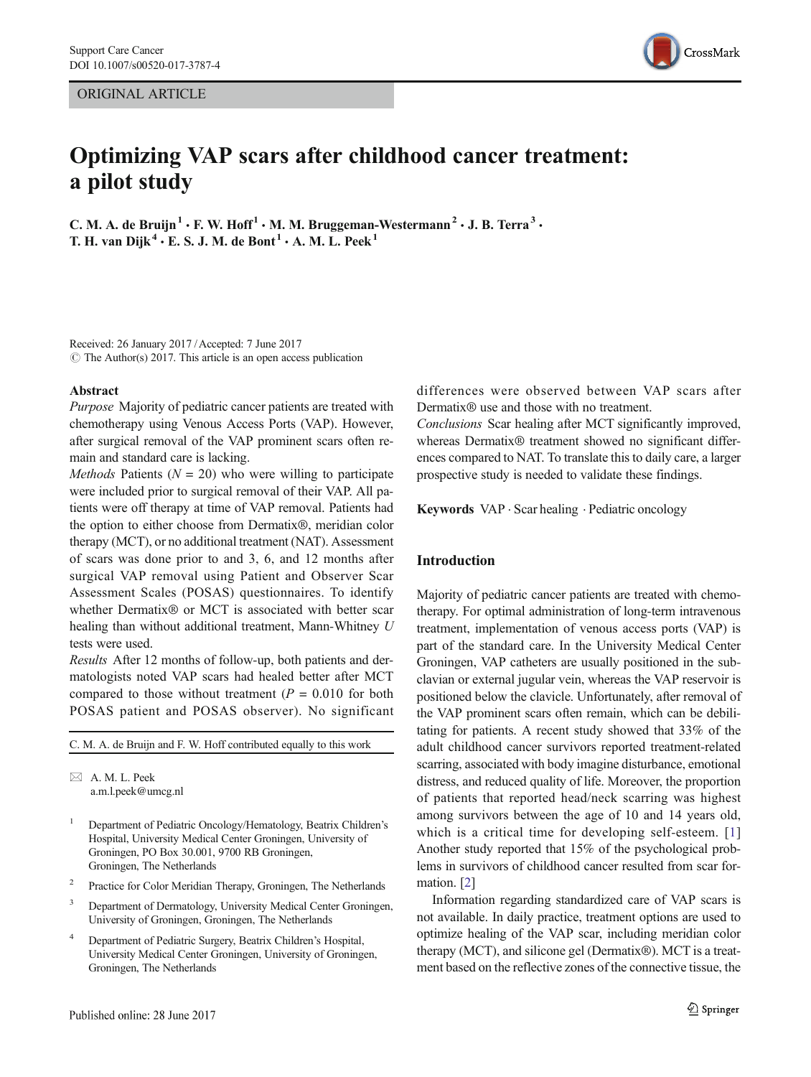ORIGINAL ARTICLE



# Optimizing VAP scars after childhood cancer treatment: a pilot study

C. M. A. de Bruijn<sup>1</sup>  $\cdot$  F. W. Hoff<sup>1</sup>  $\cdot$  M. M. Bruggeman-Westermann<sup>2</sup>  $\cdot$  J. B. Terra<sup>3</sup>  $\cdot$ T. H. van Dijk<sup>4</sup>  $\cdot$  E. S. J. M. de Bont<sup>1</sup>  $\cdot$  A. M. L. Peek<sup>1</sup>

Received: 26 January 2017 /Accepted: 7 June 2017  $\circ$  The Author(s) 2017. This article is an open access publication

#### Abstract

Purpose Majority of pediatric cancer patients are treated with chemotherapy using Venous Access Ports (VAP). However, after surgical removal of the VAP prominent scars often remain and standard care is lacking.

*Methods* Patients ( $N = 20$ ) who were willing to participate were included prior to surgical removal of their VAP. All patients were off therapy at time of VAP removal. Patients had the option to either choose from Dermatix®, meridian color therapy (MCT), or no additional treatment (NAT). Assessment of scars was done prior to and 3, 6, and 12 months after surgical VAP removal using Patient and Observer Scar Assessment Scales (POSAS) questionnaires. To identify whether Dermatix<sup>®</sup> or MCT is associated with better scar healing than without additional treatment, Mann-Whitney U tests were used.

Results After 12 months of follow-up, both patients and dermatologists noted VAP scars had healed better after MCT compared to those without treatment ( $P = 0.010$  for both POSAS patient and POSAS observer). No significant

C. M. A. de Bruijn and F. W. Hoff contributed equally to this work

 $\boxtimes$  A. M. L. Peek [a.m.l.peek@umcg.nl](mailto:a.m.l.peek@umcg.nl)

- <sup>1</sup> Department of Pediatric Oncology/Hematology, Beatrix Children's Hospital, University Medical Center Groningen, University of Groningen, PO Box 30.001, 9700 RB Groningen, Groningen, The Netherlands
- <sup>2</sup> Practice for Color Meridian Therapy, Groningen, The Netherlands
- <sup>3</sup> Department of Dermatology, University Medical Center Groningen, University of Groningen, Groningen, The Netherlands
- <sup>4</sup> Department of Pediatric Surgery, Beatrix Children's Hospital, University Medical Center Groningen, University of Groningen, Groningen, The Netherlands

differences were observed between VAP scars after Dermatix® use and those with no treatment.

Conclusions Scar healing after MCT significantly improved, whereas Dermatix<sup>®</sup> treatment showed no significant differences compared to NAT. To translate this to daily care, a larger prospective study is needed to validate these findings.

Keywords VAP . Scar healing . Pediatric oncology

## Introduction

Majority of pediatric cancer patients are treated with chemotherapy. For optimal administration of long-term intravenous treatment, implementation of venous access ports (VAP) is part of the standard care. In the University Medical Center Groningen, VAP catheters are usually positioned in the subclavian or external jugular vein, whereas the VAP reservoir is positioned below the clavicle. Unfortunately, after removal of the VAP prominent scars often remain, which can be debilitating for patients. A recent study showed that 33% of the adult childhood cancer survivors reported treatment-related scarring, associated with body imagine disturbance, emotional distress, and reduced quality of life. Moreover, the proportion of patients that reported head/neck scarring was highest among survivors between the age of 10 and 14 years old, which is a critical time for developing self-esteem. [[1](#page-3-0)] Another study reported that 15% of the psychological problems in survivors of childhood cancer resulted from scar formation. [\[2](#page-3-0)]

Information regarding standardized care of VAP scars is not available. In daily practice, treatment options are used to optimize healing of the VAP scar, including meridian color therapy (MCT), and silicone gel (Dermatix®). MCT is a treatment based on the reflective zones of the connective tissue, the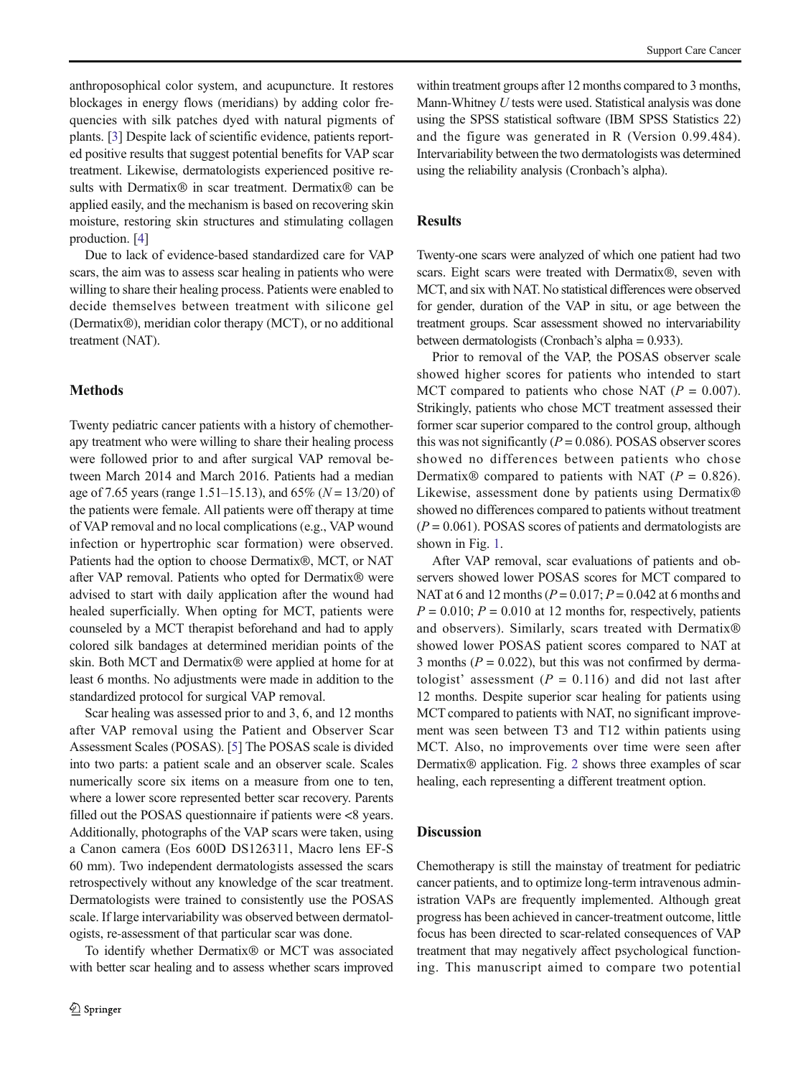anthroposophical color system, and acupuncture. It restores blockages in energy flows (meridians) by adding color frequencies with silk patches dyed with natural pigments of plants. [\[3\]](#page-3-0) Despite lack of scientific evidence, patients reported positive results that suggest potential benefits for VAP scar treatment. Likewise, dermatologists experienced positive results with Dermatix® in scar treatment. Dermatix® can be applied easily, and the mechanism is based on recovering skin moisture, restoring skin structures and stimulating collagen production. [\[4](#page-3-0)]

Due to lack of evidence-based standardized care for VAP scars, the aim was to assess scar healing in patients who were willing to share their healing process. Patients were enabled to decide themselves between treatment with silicone gel (Dermatix®), meridian color therapy (MCT), or no additional treatment (NAT).

## Methods

Twenty pediatric cancer patients with a history of chemotherapy treatment who were willing to share their healing process were followed prior to and after surgical VAP removal between March 2014 and March 2016. Patients had a median age of 7.65 years (range 1.51–15.13), and 65% ( $N = 13/20$ ) of the patients were female. All patients were off therapy at time of VAP removal and no local complications (e.g., VAP wound infection or hypertrophic scar formation) were observed. Patients had the option to choose Dermatix®, MCT, or NAT after VAP removal. Patients who opted for Dermatix® were advised to start with daily application after the wound had healed superficially. When opting for MCT, patients were counseled by a MCT therapist beforehand and had to apply colored silk bandages at determined meridian points of the skin. Both MCT and Dermatix® were applied at home for at least 6 months. No adjustments were made in addition to the standardized protocol for surgical VAP removal.

Scar healing was assessed prior to and 3, 6, and 12 months after VAP removal using the Patient and Observer Scar Assessment Scales (POSAS). [\[5\]](#page-3-0) The POSAS scale is divided into two parts: a patient scale and an observer scale. Scales numerically score six items on a measure from one to ten, where a lower score represented better scar recovery. Parents filled out the POSAS questionnaire if patients were <8 years. Additionally, photographs of the VAP scars were taken, using a Canon camera (Eos 600D DS126311, Macro lens EF-S 60 mm). Two independent dermatologists assessed the scars retrospectively without any knowledge of the scar treatment. Dermatologists were trained to consistently use the POSAS scale. If large intervariability was observed between dermatologists, re-assessment of that particular scar was done.

To identify whether Dermatix® or MCT was associated with better scar healing and to assess whether scars improved

within treatment groups after 12 months compared to 3 months. Mann-Whitney U tests were used. Statistical analysis was done using the SPSS statistical software (IBM SPSS Statistics 22) and the figure was generated in R (Version 0.99.484). Intervariability between the two dermatologists was determined using the reliability analysis (Cronbach's alpha).

# Results

Twenty-one scars were analyzed of which one patient had two scars. Eight scars were treated with Dermatix®, seven with MCT, and six with NAT. No statistical differences were observed for gender, duration of the VAP in situ, or age between the treatment groups. Scar assessment showed no intervariability between dermatologists (Cronbach's alpha = 0.933).

Prior to removal of the VAP, the POSAS observer scale showed higher scores for patients who intended to start MCT compared to patients who chose NAT ( $P = 0.007$ ). Strikingly, patients who chose MCT treatment assessed their former scar superior compared to the control group, although this was not significantly ( $P = 0.086$ ). POSAS observer scores showed no differences between patients who chose Dermatix<sup>®</sup> compared to patients with NAT ( $P = 0.826$ ). Likewise, assessment done by patients using Dermatix® showed no differences compared to patients without treatment  $(P = 0.061)$ . POSAS scores of patients and dermatologists are shown in Fig. [1](#page-2-0).

After VAP removal, scar evaluations of patients and observers showed lower POSAS scores for MCT compared to NAT at 6 and 12 months ( $P = 0.017$ ;  $P = 0.042$  at 6 months and  $P = 0.010$ ;  $P = 0.010$  at 12 months for, respectively, patients and observers). Similarly, scars treated with Dermatix® showed lower POSAS patient scores compared to NAT at 3 months ( $P = 0.022$ ), but this was not confirmed by dermatologist' assessment ( $P = 0.116$ ) and did not last after 12 months. Despite superior scar healing for patients using MCT compared to patients with NAT, no significant improvement was seen between T3 and T12 within patients using MCT. Also, no improvements over time were seen after Dermatix® application. Fig. [2](#page-2-0) shows three examples of scar healing, each representing a different treatment option.

# Discussion

Chemotherapy is still the mainstay of treatment for pediatric cancer patients, and to optimize long-term intravenous administration VAPs are frequently implemented. Although great progress has been achieved in cancer-treatment outcome, little focus has been directed to scar-related consequences of VAP treatment that may negatively affect psychological functioning. This manuscript aimed to compare two potential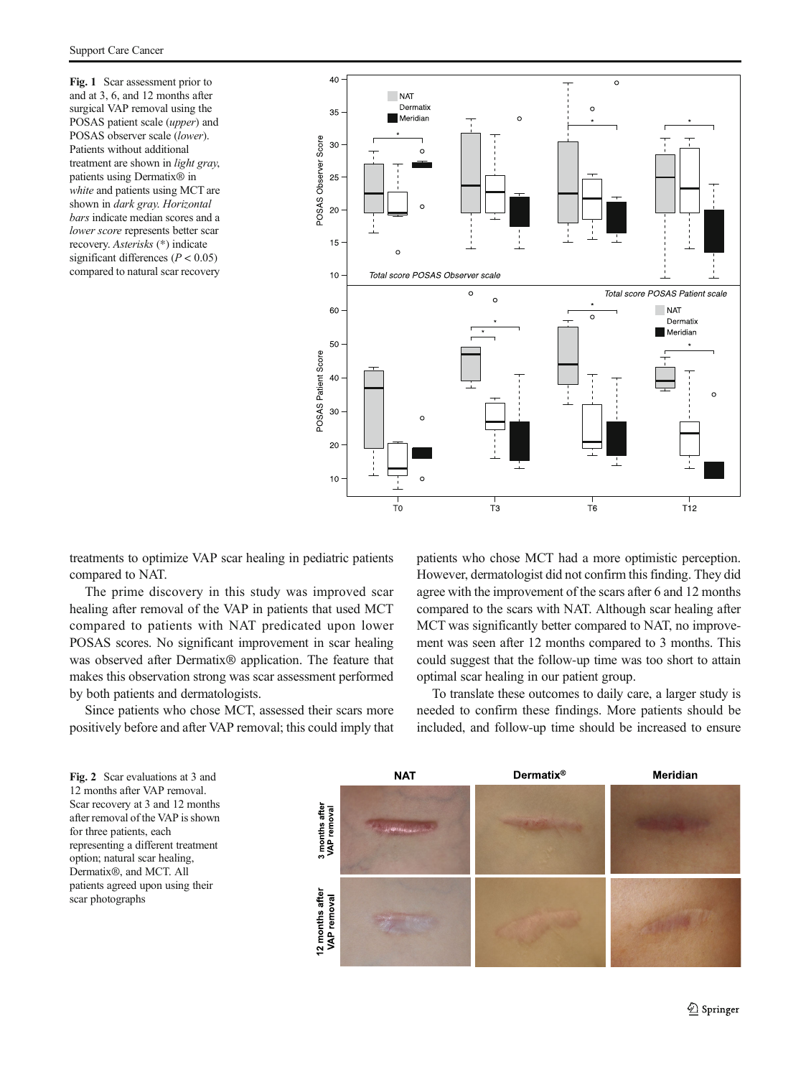<span id="page-2-0"></span>Fig. 1 Scar assessment prior to and at 3, 6, and 12 months after surgical VAP removal using the POSAS patient scale (upper) and POSAS observer scale (lower). Patients without additional treatment are shown in light gray, patients using Dermatix® in white and patients using MCT are shown in dark gray. Horizontal bars indicate median scores and a lower score represents better scar recovery. Asterisks (\*) indicate significant differences ( $P < 0.05$ ) compared to natural scar recovery



treatments to optimize VAP scar healing in pediatric patients compared to NAT.

The prime discovery in this study was improved scar healing after removal of the VAP in patients that used MCT compared to patients with NAT predicated upon lower POSAS scores. No significant improvement in scar healing was observed after Dermatix<sup>®</sup> application. The feature that makes this observation strong was scar assessment performed by both patients and dermatologists.

Since patients who chose MCT, assessed their scars more positively before and after VAP removal; this could imply that patients who chose MCT had a more optimistic perception. However, dermatologist did not confirm this finding. They did agree with the improvement of the scars after 6 and 12 months compared to the scars with NAT. Although scar healing after MCT was significantly better compared to NAT, no improvement was seen after 12 months compared to 3 months. This could suggest that the follow-up time was too short to attain optimal scar healing in our patient group.

To translate these outcomes to daily care, a larger study is needed to confirm these findings. More patients should be included, and follow-up time should be increased to ensure

Fig. 2 Scar evaluations at 3 and 12 months after VAP removal. Scar recovery at 3 and 12 months after removal of the VAP is shown for three patients, each representing a different treatment option; natural scar healing, Dermatix®, and MCT. All patients agreed upon using their scar photographs